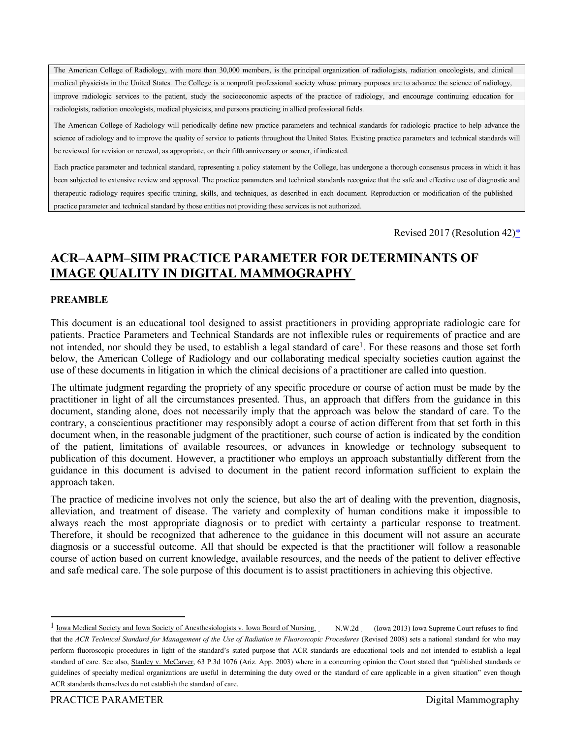The American College of Radiology, with more than 30,000 members, is the principal organization of radiologists, radiation oncologists, and clinical medical physicists in the United States. The College is a nonprofit professional society whose primary purposes are to advance the science of radiology, improve radiologic services to the patient, study the socioeconomic aspects of the practice of radiology, and encourage continuing education for radiologists, radiation oncologists, medical physicists, and persons practicing in allied professional fields.

The American College of Radiology will periodically define new practice parameters and technical standards for radiologic practice to help advance the science of radiology and to improve the quality of service to patients throughout the United States. Existing practice parameters and technical standards will be reviewed for revision or renewal, as appropriate, on their fifth anniversary or sooner, if indicated.

Each practice parameter and technical standard, representing a policy statement by the College, has undergone a thorough consensus process in which it has been subjected to extensive review and approval. The practice parameters and technical standards recognize that the safe and effective use of diagnostic and therapeutic radiology requires specific training, skills, and techniques, as described in each document. Reproduction or modification of the published practice parameter and technical standard by those entities not providing these services is not authorized.

Revised 2017 (Resolution 42[\)\\*](#page-20-0)

# **ACR–AAPM–SIIM PRACTICE PARAMETER FOR DETERMINANTS OF IMAGE QUALITY IN DIGITAL MAMMOGRAPHY**

## **PREAMBLE**

This document is an educational tool designed to assist practitioners in providing appropriate radiologic care for patients. Practice Parameters and Technical Standards are not inflexible rules or requirements of practice and are not intended, nor should they be used, to establish a legal standard of care<sup>1</sup>. For these reasons and those set forth below, the American College of Radiology and our collaborating medical specialty societies caution against the use of these documents in litigation in which the clinical decisions of a practitioner are called into question.

The ultimate judgment regarding the propriety of any specific procedure or course of action must be made by the practitioner in light of all the circumstances presented. Thus, an approach that differs from the guidance in this document, standing alone, does not necessarily imply that the approach was below the standard of care. To the contrary, a conscientious practitioner may responsibly adopt a course of action different from that set forth in this document when, in the reasonable judgment of the practitioner, such course of action is indicated by the condition of the patient, limitations of available resources, or advances in knowledge or technology subsequent to publication of this document. However, a practitioner who employs an approach substantially different from the guidance in this document is advised to document in the patient record information sufficient to explain the approach taken.

The practice of medicine involves not only the science, but also the art of dealing with the prevention, diagnosis, alleviation, and treatment of disease. The variety and complexity of human conditions make it impossible to always reach the most appropriate diagnosis or to predict with certainty a particular response to treatment. Therefore, it should be recognized that adherence to the guidance in this document will not assure an accurate diagnosis or a successful outcome. All that should be expected is that the practitioner will follow a reasonable course of action based on current knowledge, available resources, and the needs of the patient to deliver effective and safe medical care. The sole purpose of this document is to assist practitioners in achieving this objective.

<sup>&</sup>lt;sup>1</sup> <u>Iowa Medical Society and Iowa Society of Anesthesiologists v. Iowa Board of Nursing, N.W.2d (Iowa 2013) Iowa Supreme Court refuses to find</u> that the ACR Technical Standard for Management of the Use of Radiation in Fluoroscopic Procedures (Revised 2008) sets a national standard for who may perform fluoroscopic procedures in light of the standard's stated purpose that ACR standards are educational tools and not intended to establish a legal standard of care. See also, Stanley v. McCarver, 63 P.3d 1076 (Ariz. App. 2003) where in a concurring opinion the Court stated that "published standards or guidelines of specialty medical organizations are useful in determining the duty owed or the standard of care applicable in a given situation" even though ACR standards themselves do not establish the standard of care.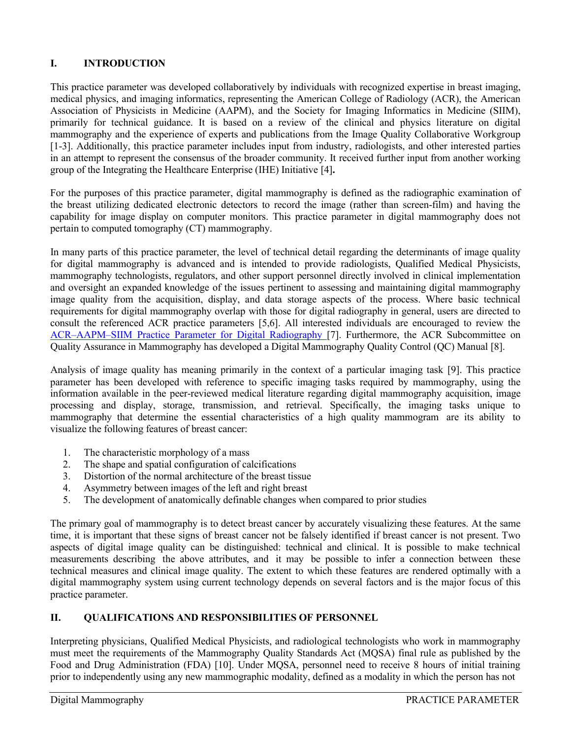## **I. INTRODUCTION**

This practice parameter was developed collaboratively by individuals with recognized expertise in breast imaging, medical physics, and imaging informatics, representing the American College of Radiology (ACR), the American Association of Physicists in Medicine (AAPM), and the Society for Imaging Informatics in Medicine (SIIM), primarily for technical guidance. It is based on a review of the clinical and physics literature on digital mammography and the experience of experts and publications from the Image Quality Collaborative Workgrou[p](#page-17-0) [\[1-3\]](#page-17-0). Additionally, this practice parameter includes input from industry, radiologists, and other interested parties in an attempt to represent the consensus of the broader community. It received further input from another working group of the Integrating the Healthcare Enterprise (IHE) Initiative [\[4\]](#page-18-0)**.**

For the purposes of this practice parameter, digital mammography is defined as the radiographic examination of the breast utilizing dedicated electronic detectors to record the image (rather than screen-film) and having the capability for image display on computer monitors. This practice parameter in digital mammography does not pertain to computed tomography (CT) mammography.

In many parts of this practice parameter, the level of technical detail regarding the determinants of image quality for digital mammography is advanced and is intended to provide radiologists, Qualified Medical Physicists, mammography technologists, regulators, and other support personnel directly involved in clinical implementation and oversight an expanded knowledge of the issues pertinent to assessing and maintaining digital mammography image quality from the acquisition, display, and data storage aspects of the process. Where basic technical requirements for digital mammography overlap with those for digital radiography in general, users are directed to consult the referenced ACR practice parameters [\[5](#page-18-1)[,6\]](#page-18-2). All interested individuals are encouraged to review the [ACR–AAPM–SIIM](https://www.acr.org/-/media/ACR/Files/Practice-Parameters/Rad-Digital.pdf) Practice Parameter for Digital Radiography [\[7\]](#page-18-3). Furthermore, the ACR Subcommittee on Quality Assurance in Mammography has developed a Digital Mammography Quality Control (QC) Manual [\[8\]](#page-18-4).

Analysis of image quality has meaning primarily in the context of a particular imaging task [\[9\]](#page-18-5). This practice parameter has been developed with reference to specific imaging tasks required by mammography, using the information available in the peer-reviewed medical literature regarding digital mammography acquisition, image processing and display, storage, transmission, and retrieval. Specifically, the imaging tasks unique to mammography that determine the essential characteristics of a high quality mammogram are its ability to visualize the following features of breast cancer:

- 1. The characteristic morphology of a mass
- 2. The shape and spatial configuration of calcifications
- 3. Distortion of the normal architecture of the breast tissue
- 4. Asymmetry between images of the left and right breast
- 5. The development of anatomically definable changes when compared to prior studies

The primary goal of mammography is to detect breast cancer by accurately visualizing these features. At the same time, it is important that these signs of breast cancer not be falsely identified if breast cancer is not present. Two aspects of digital image quality can be distinguished: technical and clinical. It is possible to make technical measurements describing the above attributes, and it may be possible to infer a connection between these technical measures and clinical image quality. The extent to which these features are rendered optimally with a digital mammography system using current technology depends on several factors and is the major focus of this practice parameter.

## **II. QUALIFICATIONS AND RESPONSIBILITIES OF PERSONNEL**

Interpreting physicians, Qualified Medical Physicists, and radiological technologists who work in mammography must meet the requirements of the Mammography Quality Standards Act (MQSA) final rule as published by the Food and Drug Administration (FDA) [\[10\]](#page-18-6). Under MQSA, personnel need to receive 8 hours of initial training prior to independently using any new mammographic modality, defined as a modality in which the person has not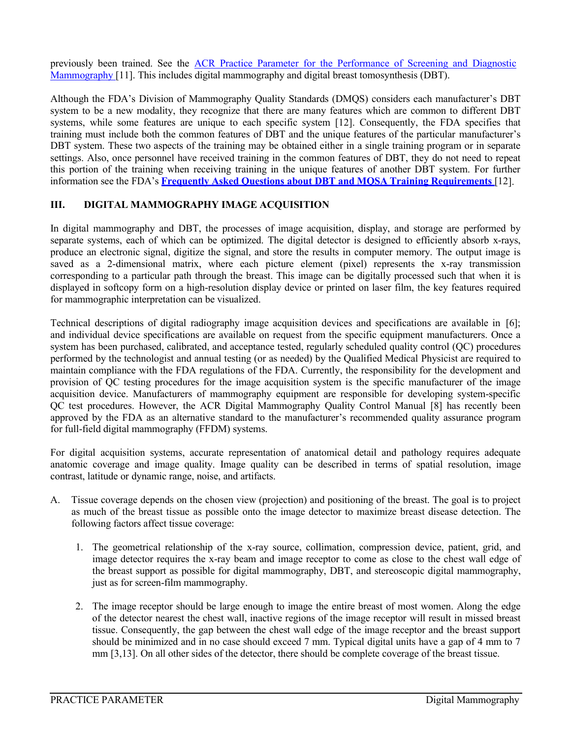previously been trained. See the ACR Practice Parameter for the [Performance](https://www.acr.org/-/media/ACR/Files/Practice-Parameters/Screen-Diag-Mammo.pdf) of Screening and Diagnostic [Mammography](https://www.acr.org/-/media/ACR/Files/Practice-Parameters/Screen-Diag-Mammo.pdf) [\[11\]](#page-18-7). This includes digital mammography and digital breast tomosynthesis (DBT).

Although the FDA's Division of Mammography Quality Standards (DMQS) considers each manufacturer's DBT system to be a new modality, they recognize that there are many features which are common to different DBT systems, while some features are unique to each specific system [\[12\]](#page-18-8). Consequently, the FDA specifies that training must include both the common features of DBT and the unique features of the particular manufacturer's DBT system. These two aspects of the training may be obtained either in a single training program or in separate settings. Also, once personnel have received training in the common features of DBT, they do not need to repeat this portion of the training when receiving training in the unique features of another DBT system. For further information see the FDA's **Frequently Asked Questions about DBT and [MQSA Training](http://www.fda.gov/Radiation-EmittingProducts/MammographyQualityStandardsActandProgram/FacilityCertificationandInspection/ucm447869.htm) Requirements** [\[12\]](#page-18-8).

## **III. DIGITAL MAMMOGRAPHY IMAGE ACQUISITION**

In digital mammography and DBT, the processes of image acquisition, display, and storage are performed by separate systems, each of which can be optimized. The digital detector is designed to efficiently absorb x-rays, produce an electronic signal, digitize the signal, and store the results in computer memory. The output image is saved as a 2-dimensional matrix, where each picture element (pixel) represents the x-ray transmission corresponding to a particular path through the breast. This image can be digitally processed such that when it is displayed in softcopy form on a high-resolution display device or printed on laser film, the key features required for mammographic interpretation can be visualized.

Technical descriptions of digital radiography image acquisition devices and specifications are available in [\[6\]](#page-18-2); and individual device specifications are available on request from the specific equipment manufacturers. Once a system has been purchased, calibrated, and acceptance tested, regularly scheduled quality control (QC) procedures performed by the technologist and annual testing (or as needed) by the Qualified Medical Physicist are required to maintain compliance with the FDA regulations of the FDA. Currently, the responsibility for the development and provision of QC testing procedures for the image acquisition system is the specific manufacturer of the image acquisition device. Manufacturers of mammography equipment are responsible for developing system-specific QC test procedures. However, the ACR Digital Mammography Quality Control Manual [\[8\]](#page-18-4) has recently been approved by the FDA as an alternative standard to the manufacturer's recommended quality assurance program for full-field digital mammography (FFDM) systems.

For digital acquisition systems, accurate representation of anatomical detail and pathology requires adequate anatomic coverage and image quality. Image quality can be described in terms of spatial resolution, image contrast, latitude or dynamic range, noise, and artifacts.

- A. Tissue coverage depends on the chosen view (projection) and positioning of the breast. The goal is to project as much of the breast tissue as possible onto the image detector to maximize breast disease detection. The following factors affect tissue coverage:
	- 1. The geometrical relationship of the x-ray source, collimation, compression device, patient, grid, and image detector requires the x-ray beam and image receptor to come as close to the chest wall edge of the breast support as possible for digital mammography, DBT, and stereoscopic digital mammography, just as for screen-film mammography.
	- 2. The image receptor should be large enough to image the entire breast of most women. Along the edge of the detector nearest the chest wall, inactive regions of the image receptor will result in missed breast tissue. Consequently, the gap between the chest wall edge of the image receptor and the breast support should be minimized and in no case should exceed 7 mm. Typical digital units have a gap of 4 mm to 7 mm [\[3](#page-17-1)[,13\]](#page-18-9). On all other sides of the detector, there should be complete coverage of the breast tissue.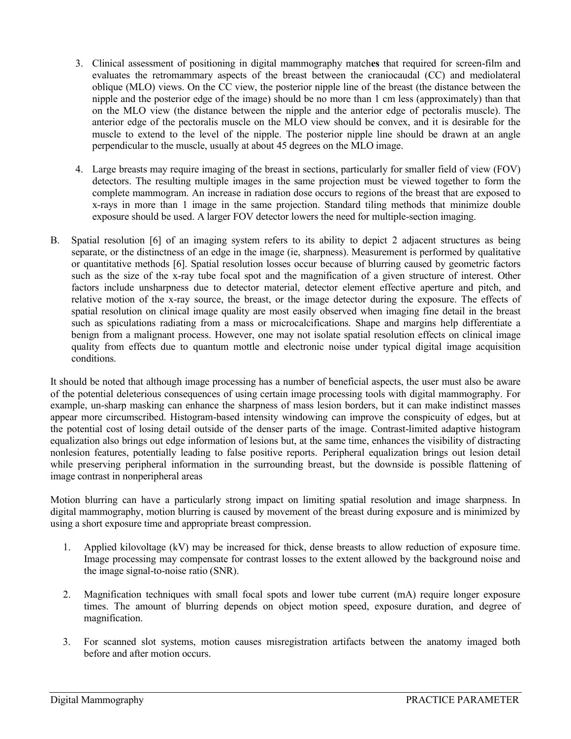- 3. Clinical assessment of positioning in digital mammography match**es** that required for screen-film and evaluates the retromammary aspects of the breast between the craniocaudal (CC) and mediolateral oblique (MLO) views. On the CC view, the posterior nipple line of the breast (the distance between the nipple and the posterior edge of the image) should be no more than 1 cm less (approximately) than that on the MLO view (the distance between the nipple and the anterior edge of pectoralis muscle). The anterior edge of the pectoralis muscle on the MLO view should be convex, and it is desirable for the muscle to extend to the level of the nipple. The posterior nipple line should be drawn at an angle perpendicular to the muscle, usually at about 45 degrees on the MLO image.
- 4. Large breasts may require imaging of the breast in sections, particularly for smaller field of view (FOV) detectors. The resulting multiple images in the same projection must be viewed together to form the complete mammogram. An increase in radiation dose occurs to regions of the breast that are exposed to x-rays in more than 1 image in the same projection. Standard tiling methods that minimize double exposure should be used. A larger FOV detector lowers the need for multiple-section imaging.
- B. Spatial resolution [\[6\]](#page-18-2) of an imaging system refers to its ability to depict 2 adjacent structures as being separate, or the distinctness of an edge in the image (ie, sharpness). Measurement is performed by qualitative or quantitative methods [\[6\]](#page-18-2). Spatial resolution losses occur because of blurring caused by geometric factors such as the size of the x-ray tube focal spot and the magnification of a given structure of interest. Other factors include unsharpness due to detector material, detector element effective aperture and pitch, and relative motion of the x-ray source, the breast, or the image detector during the exposure. The effects of spatial resolution on clinical image quality are most easily observed when imaging fine detail in the breast such as spiculations radiating from a mass or microcalcifications. Shape and margins help differentiate a benign from a malignant process. However, one may not isolate spatial resolution effects on clinical image quality from effects due to quantum mottle and electronic noise under typical digital image acquisition conditions.

It should be noted that although image processing has a number of beneficial aspects, the user must also be aware of the potential deleterious consequences of using certain image processing tools with digital mammography. For example, un-sharp masking can enhance the sharpness of mass lesion borders, but it can make indistinct masses appear more circumscribed. Histogram-based intensity windowing can improve the conspicuity of edges, but at the potential cost of losing detail outside of the denser parts of the image. Contrast-limited adaptive histogram equalization also brings out edge information of lesions but, at the same time, enhances the visibility of distracting nonlesion features, potentially leading to false positive reports. Peripheral equalization brings out lesion detail while preserving peripheral information in the surrounding breast, but the downside is possible flattening of image contrast in nonperipheral areas

Motion blurring can have a particularly strong impact on limiting spatial resolution and image sharpness. In digital mammography, motion blurring is caused by movement of the breast during exposure and is minimized by using a short exposure time and appropriate breast compression.

- 1. Applied kilovoltage (kV) may be increased for thick, dense breasts to allow reduction of exposure time. Image processing may compensate for contrast losses to the extent allowed by the background noise and the image signal-to-noise ratio (SNR).
- 2. Magnification techniques with small focal spots and lower tube current (mA) require longer exposure times. The amount of blurring depends on object motion speed, exposure duration, and degree of magnification.
- 3. For scanned slot systems, motion causes misregistration artifacts between the anatomy imaged both before and after motion occurs.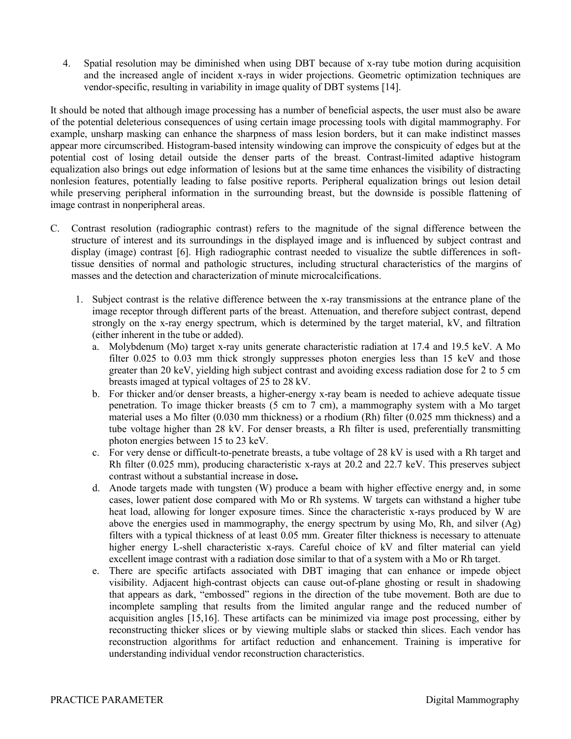4. Spatial resolution may be diminished when using DBT because of x-ray tube motion during acquisition and the increased angle of incident x-rays in wider projections. Geometric optimization techniques are vendor-specific, resulting in variability in image quality of DBT systems [\[14\]](#page-18-10).

It should be noted that although image processing has a number of beneficial aspects, the user must also be aware of the potential deleterious consequences of using certain image processing tools with digital mammography. For example, unsharp masking can enhance the sharpness of mass lesion borders, but it can make indistinct masses appear more circumscribed. Histogram-based intensity windowing can improve the conspicuity of edges but at the potential cost of losing detail outside the denser parts of the breast. Contrast-limited adaptive histogram equalization also brings out edge information of lesions but at the same time enhances the visibility of distracting nonlesion features, potentially leading to false positive reports. Peripheral equalization brings out lesion detail while preserving peripheral information in the surrounding breast, but the downside is possible flattening of image contrast in nonperipheral areas.

- C. Contrast resolution (radiographic contrast) refers to the magnitude of the signal difference between the structure of interest and its surroundings in the displayed image and is influenced by subject contrast and display (image) contrast [\[6\]](#page-18-2). High radiographic contrast needed to visualize the subtle differences in softtissue densities of normal and pathologic structures, including structural characteristics of the margins of masses and the detection and characterization of minute microcalcifications.
	- 1. Subject contrast is the relative difference between the x-ray transmissions at the entrance plane of the image receptor through different parts of the breast. Attenuation, and therefore subject contrast, depend strongly on the x-ray energy spectrum, which is determined by the target material, kV, and filtration (either inherent in the tube or added).
		- a. Molybdenum (Mo) target x-ray units generate characteristic radiation at 17.4 and 19.5 keV. A Mo filter 0.025 to 0.03 mm thick strongly suppresses photon energies less than 15 keV and those greater than 20 keV, yielding high subject contrast and avoiding excess radiation dose for 2 to 5 cm breasts imaged at typical voltages of 25 to 28 kV.
		- b. For thicker and/or denser breasts, a higher-energy x-ray beam is needed to achieve adequate tissue penetration. To image thicker breasts (5 cm to 7 cm), a mammography system with a Mo target material uses a Mo filter (0.030 mm thickness) or a rhodium (Rh) filter (0.025 mm thickness) and a tube voltage higher than 28 kV. For denser breasts, a Rh filter is used, preferentially transmitting photon energies between 15 to 23 keV.
		- c. For very dense or difficult-to-penetrate breasts, a tube voltage of 28 kV is used with a Rh target and Rh filter (0.025 mm), producing characteristic x-rays at 20.2 and 22.7 keV. This preserves subject contrast without a substantial increase in dose**.**
		- d. Anode targets made with tungsten (W) produce a beam with higher effective energy and, in some cases, lower patient dose compared with Mo or Rh systems. W targets can withstand a higher tube heat load, allowing for longer exposure times. Since the characteristic x-rays produced by W are above the energies used in mammography, the energy spectrum by using Mo, Rh, and silver (Ag) filters with a typical thickness of at least 0.05 mm. Greater filter thickness is necessary to attenuate higher energy L-shell characteristic x-rays. Careful choice of kV and filter material can yield excellent image contrast with a radiation dose similar to that of a system with a Mo or Rh target.
		- e. There are specific artifacts associated with DBT imaging that can enhance or impede object visibility. Adjacent high-contrast objects can cause out-of-plane ghosting or result in shadowing that appears as dark, "embossed" regions in the direction of the tube movement. Both are due to incomplete sampling that results from the limited angular range and the reduced number of acquisition angles [\[15](#page-18-11)[,16\]](#page-18-12). These artifacts can be minimized via image post processing, either by reconstructing thicker slices or by viewing multiple slabs or stacked thin slices. Each vendor has reconstruction algorithms for artifact reduction and enhancement. Training is imperative for understanding individual vendor reconstruction characteristics.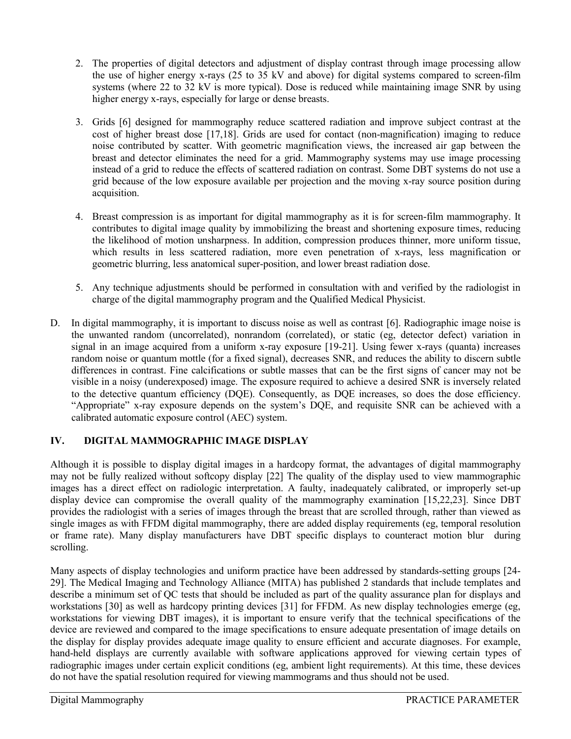- 2. The properties of digital detectors and adjustment of display contrast through image processing allow the use of higher energy x-rays (25 to 35 kV and above) for digital systems compared to screen-film systems (where 22 to 32 kV is more typical). Dose is reduced while maintaining image SNR by using higher energy x-rays, especially for large or dense breasts.
- 3. Grids [\[6\]](#page-18-2) designed for mammography reduce scattered radiation and improve subject contrast at the cost of higher breast dose [\[17](#page-18-13)[,18\]](#page-18-14). Grids are used for contact (non-magnification) imaging to reduce noise contributed by scatter. With geometric magnification views, the increased air gap between the breast and detector eliminates the need for a grid. Mammography systems may use image processing instead of a grid to reduce the effects of scattered radiation on contrast. Some DBT systems do not use a grid because of the low exposure available per projection and the moving x-ray source position during acquisition.
- 4. Breast compression is as important for digital mammography as it is for screen-film mammography. It contributes to digital image quality by immobilizing the breast and shortening exposure times, reducing the likelihood of motion unsharpness. In addition, compression produces thinner, more uniform tissue, which results in less scattered radiation, more even penetration of x-rays, less magnification or geometric blurring, less anatomical super-position, and lower breast radiation dose.
- 5. Any technique adjustments should be performed in consultation with and verified by the radiologist in charge of the digital mammography program and the Qualified Medical Physicist.
- D. In digital mammography, it is important to discuss noise as well as contrast [\[6\]](#page-18-2). Radiographic image noise is the unwanted random (uncorrelated), nonrandom (correlated), or static (eg, detector defect) variation in signal in an image acquired from a uniform x-ray exposure [\[19-21\]](#page-18-15). Using fewer x-rays (quanta) increases random noise or quantum mottle (for a fixed signal), decreases SNR, and reduces the ability to discern subtle differences in contrast. Fine calcifications or subtle masses that can be the first signs of cancer may not be visible in a noisy (underexposed) image. The exposure required to achieve a desired SNR is inversely related to the detective quantum efficiency (DQE). Consequently, as DQE increases, so does the dose efficiency. "Appropriate" x-ray exposure depends on the system's DQE, and requisite SNR can be achieved with a calibrated automatic exposure control (AEC) system.

## **IV. DIGITAL MAMMOGRAPHIC IMAGE DISPLAY**

Although it is possible to display digital images in a hardcopy format, the advantages of digital mammography may not be fully realized without softcopy display [\[22\]](#page-18-16) The quality of the display used to view mammographic images has a direct effect on radiologic interpretation. A faulty, inadequately calibrated, or improperly set-up display device can compromise the overall quality of the mammography examination [\[15](#page-18-11)[,22](#page-18-16)[,23\]](#page-18-17). Since DBT provides the radiologist with a series of images through the breast that are scrolled through, rather than viewed as single images as with FFDM digital mammography, there are added display requirements (eg, temporal resolution or frame rate). Many display manufacturers have DBT specific displays to counteract motion blur during scrolling.

Many aspects of display technologies and uniform practice have been addressed by standards-setting groups [\[24-](#page-18-18) [29\]](#page-18-18). The Medical Imaging and Technology Alliance (MITA) has published 2 standards that include templates and describe a minimum set of QC tests that should be included as part of the quality assurance plan for displays and workstations [\[30\]](#page-19-0) as well as hardcopy printing devices [\[31\]](#page-19-1) for FFDM. As new display technologies emerge (eg, workstations for viewing DBT images), it is important to ensure verify that the technical specifications of the device are reviewed and compared to the image specifications to ensure adequate presentation of image details on the display for display provides adequate image quality to ensure efficient and accurate diagnoses. For example, hand-held displays are currently available with software applications approved for viewing certain types of radiographic images under certain explicit conditions (eg, ambient light requirements). At this time, these devices do not have the spatial resolution required for viewing mammograms and thus should not be used.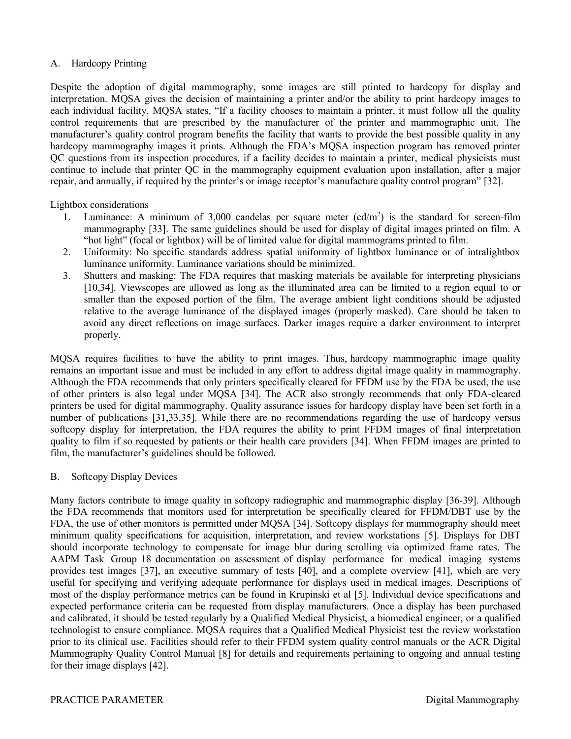### A. Hardcopy Printing

Despite the adoption of digital mammography, some images are still printed to hardcopy for display and interpretation. MQSA gives the decision of maintaining a printer and/or the ability to print hardcopy images to each individual facility. MQSA states, "If a facility chooses to maintain a printer, it must follow all the quality control requirements that are prescribed by the manufacturer of the printer and mammographic unit. The manufacturer's quality control program benefits the facility that wants to provide the best possible quality in any hardcopy mammography images it prints. Although the FDA's MQSA inspection program has removed printer QC questions from its inspection procedures, if a facility decides to maintain a printer, medical physicists must continue to include that printer QC in the mammography equipment evaluation upon installation, after a major repair, and annually, if required by the printer's or image receptor's manufacture quality control program" [\[32\]](#page-19-2).

Lightbox considerations

- 1. Luminance: A minimum of 3,000 candelas per square meter  $(cd/m^2)$  is the standard for screen-film mammography [\[33\]](#page-19-3). The same guidelines should be used for display of digital images printed on film. A "hot light" (focal or lightbox) will be of limited value for digital mammograms printed to film.
- 2. Uniformity: No specific standards address spatial uniformity of lightbox luminance or of intralightbox luminance uniformity. Luminance variations should be minimized.
- 3. Shutters and masking: The FDA requires that masking materials be available for interpreting physician[s](#page-18-6) [\[10](#page-18-6)[,34\]](#page-19-4). Viewscopes are allowed as long as the illuminated area can be limited to a region equal to or smaller than the exposed portion of the film. The average ambient light conditions should be adjusted relative to the average luminance of the displayed images (properly masked). Care should be taken to avoid any direct reflections on image surfaces. Darker images require a darker environment to interpret properly.

MQSA requires facilities to have the ability to print images. Thus, hardcopy mammographic image quality remains an important issue and must be included in any effort to address digital image quality in mammography. Although the FDA recommends that only printers specifically cleared for FFDM use by the FDA be used, the use of other printers is also legal under MQSA [\[34\]](#page-19-4). The ACR also strongly recommends that only FDA-cleared printers be used for digital mammography. Quality assurance issues for hardcopy display have been set forth in a number of publications [\[31](#page-19-1)[,33](#page-19-3)[,35\]](#page-19-5). While there are no recommendations regarding the use of hardcopy versus softcopy display for interpretation, the FDA requires the ability to print FFDM images of final interpretation quality to film if so requested by patients or their health care providers [\[34\]](#page-19-4). When FFDM images are printed to film, the manufacturer's guidelines should be followed.

#### B. Softcopy Display Devices

Many factors contribute to image quality in softcopy radiographic and mammographic display [\[36-39\]](#page-19-6). Although the FDA recommends that monitors used for interpretation be specifically cleared for FFDM/DBT use by the FDA, the use of other monitors is permitted under MQSA [\[34\]](#page-19-4). Softcopy displays for mammography should meet minimum quality specifications for acquisition, interpretation, and review workstations [\[5\]](#page-18-1). Displays for DBT should incorporate technology to compensate for image blur during scrolling via optimized frame rates. The AAPM Task Group 18 documentation on assessment of display performance for medical imaging systems provides test images [\[37\]](#page-19-7), an executive summary of tests [\[40\]](#page-19-8), and a complete overview [\[41\]](#page-19-9), which are very useful for specifying and verifying adequate performance for displays used in medical images. Descriptions of most of the display performance metrics can be found in Krupinski et al [\[5\]](#page-18-1). Individual device specifications and expected performance criteria can be requested from display manufacturers. Once a display has been purchased and calibrated, it should be tested regularly by a Qualified Medical Physicist, a biomedical engineer, or a qualified technologist to ensure compliance. MQSA requires that a Qualified Medical Physicist test the review workstation prior to its clinical use. Facilities should refer to their FFDM system quality control manuals or the ACR Digital Mammography Quality Control Manual [\[8\]](#page-18-4) for details and requirements pertaining to ongoing and annual testing for their image displays [\[42\]](#page-19-10).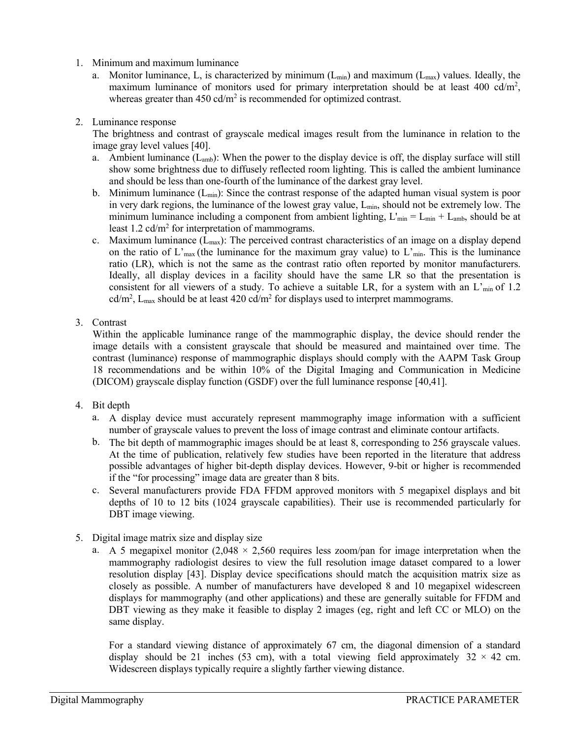- 1. Minimum and maximum luminance
	- a. Monitor luminance, L, is characterized by minimum  $(L_{min})$  and maximum  $(L_{max})$  values. Ideally, the maximum luminance of monitors used for primary interpretation should be at least 400 cd/m<sup>2</sup>, whereas greater than  $450 \text{ ed/m}^2$  is recommended for optimized contrast.
- 2. Luminance response

The brightness and contrast of grayscale medical images result from the luminance in relation to the image gray level values [\[40\]](#page-19-8).

- a. Ambient luminance  $(L_{amb})$ : When the power to the display device is off, the display surface will still show some brightness due to diffusely reflected room lighting. This is called the ambient luminance and should be less than one-fourth of the luminance of the darkest gray level.
- b. Minimum luminance  $(L_{min})$ : Since the contrast response of the adapted human visual system is poor in very dark regions, the luminance of the lowest gray value, L<sub>min</sub>, should not be extremely low. The minimum luminance including a component from ambient lighting,  $L'_{min} = L_{min} + L_{amb}$ , should be at least  $1.2$  cd/m<sup>2</sup> for interpretation of mammograms.
- c. Maximum luminance  $(L_{\text{max}})$ : The perceived contrast characteristics of an image on a display depend on the ratio of  $L_{\text{max}}$  (the luminance for the maximum gray value) to  $L_{\text{min}}$ . This is the luminance ratio (LR), which is not the same as the contrast ratio often reported by monitor manufacturers. Ideally, all display devices in a facility should have the same LR so that the presentation is consistent for all viewers of a study. To achieve a suitable LR, for a system with an  $L_{\text{min}}$  of 1.2 cd/m<sup>2</sup>, L<sub>max</sub> should be at least 420 cd/m<sup>2</sup> for displays used to interpret mammograms.
- 3. Contrast

Within the applicable luminance range of the mammographic display, the device should render the image details with a consistent grayscale that should be measured and maintained over time. The contrast (luminance) response of mammographic displays should comply with the AAPM Task Group 18 recommendations and be within 10% of the Digital Imaging and Communication in Medicine (DICOM) grayscale display function (GSDF) over the full luminance response [\[40](#page-19-8)[,41\]](#page-19-9).

- 4. Bit depth
	- a. A display device must accurately represent mammography image information with a sufficient number of grayscale values to prevent the loss of image contrast and eliminate contour artifacts.
	- b. The bit depth of mammographic images should be at least 8, corresponding to 256 grayscale values. At the time of publication, relatively few studies have been reported in the literature that address possible advantages of higher bit-depth display devices. However, 9-bit or higher is recommended if the "for processing" image data are greater than 8 bits.
	- c. Several manufacturers provide FDA FFDM approved monitors with 5 megapixel displays and bit depths of 10 to 12 bits (1024 grayscale capabilities). Their use is recommended particularly for DBT image viewing.
- 5. Digital image matrix size and display size
	- a. A 5 megapixel monitor  $(2,048 \times 2,560)$  requires less zoom/pan for image interpretation when the mammography radiologist desires to view the full resolution image dataset compared to a lower resolution display [\[43\]](#page-19-11). Display device specifications should match the acquisition matrix size as closely as possible. A number of manufacturers have developed 8 and 10 megapixel widescreen displays for mammography (and other applications) and these are generally suitable for FFDM and DBT viewing as they make it feasible to display 2 images (eg, right and left CC or MLO) on the same display.

For a standard viewing distance of approximately 67 cm, the diagonal dimension of a standard display should be 21 inches (53 cm), with a total viewing field approximately  $32 \times 42$  cm. Widescreen displays typically require a slightly farther viewing distance.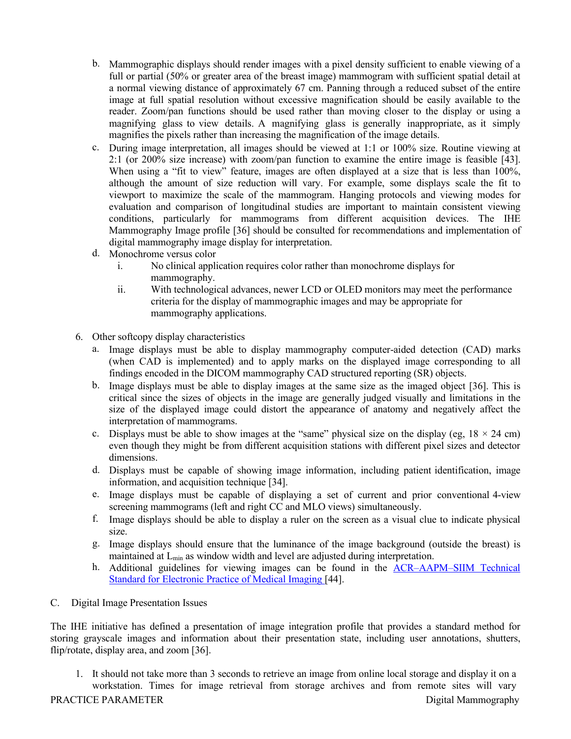- b. Mammographic displays should render images with a pixel density sufficient to enable viewing of a full or partial (50% or greater area of the breast image) mammogram with sufficient spatial detail at a normal viewing distance of approximately 67 cm. Panning through a reduced subset of the entire image at full spatial resolution without excessive magnification should be easily available to the reader. Zoom/pan functions should be used rather than moving closer to the display or using a magnifying glass to view details. A magnifying glass is generally inappropriate, as it simply magnifies the pixels rather than increasing the magnification of the image details.
- c. During image interpretation, all images should be viewed at 1:1 or 100% size. Routine viewing at 2:1 (or 200% size increase) with zoom/pan function to examine the entire image is feasible [\[43\]](#page-19-11). When using a "fit to view" feature, images are often displayed at a size that is less than 100%, although the amount of size reduction will vary. For example, some displays scale the fit to viewport to maximize the scale of the mammogram. Hanging protocols and viewing modes for evaluation and comparison of longitudinal studies are important to maintain consistent viewing conditions, particularly for mammograms from different acquisition devices. The IHE Mammography Image profile [\[36\]](#page-19-6) should be consulted for recommendations and implementation of digital mammography image display for interpretation.
- d. Monochrome versus color
	- i. No clinical application requires color rather than monochrome displays for mammography.
	- ii. With technological advances, newer LCD or OLED monitors may meet the performance criteria for the display of mammographic images and may be appropriate for mammography applications.
- 6. Other softcopy display characteristics
	- a. Image displays must be able to display mammography computer-aided detection (CAD) marks (when CAD is implemented) and to apply marks on the displayed image corresponding to all findings encoded in the DICOM mammography CAD structured reporting (SR) objects.
	- b. Image displays must be able to display images at the same size as the imaged object [\[36\]](#page-19-6). This is critical since the sizes of objects in the image are generally judged visually and limitations in the size of the displayed image could distort the appearance of anatomy and negatively affect the interpretation of mammograms.
	- c. Displays must be able to show images at the "same" physical size on the display (eg,  $18 \times 24$  cm) even though they might be from different acquisition stations with different pixel sizes and detector dimensions.
	- d. Displays must be capable of showing image information, including patient identification, image information, and acquisition technique [\[34\]](#page-19-4).
	- e. Image displays must be capable of displaying a set of current and prior conventional 4-view screening mammograms (left and right CC and MLO views) simultaneously.
	- f. Image displays should be able to display a ruler on the screen as a visual clue to indicate physical size.
	- g. Image displays should ensure that the luminance of the image background (outside the breast) is maintained at Lmin as window width and level are adjusted during interpretation.
	- h. Additional guidelines for viewing images can be found in the [ACR–AAPM–SIIM](http://www.acr.org/%7E/media/AF1480B0F95842E7B163F09F1CE00977.pdf) Technical Standard [for Electronic](http://www.acr.org/%7E/media/AF1480B0F95842E7B163F09F1CE00977.pdf) Practice of Medical Imaging [\[44\]](#page-19-12).
- C. Digital Image Presentation Issues

The IHE initiative has defined a presentation of image integration profile that provides a standard method for storing grayscale images and information about their presentation state, including user annotations, shutters, flip/rotate, display area, and zoom [\[36\]](#page-19-6).

1. It should not take more than 3 seconds to retrieve an image from online local storage and display it on a workstation. Times for image retrieval from storage archives and from remote sites will vary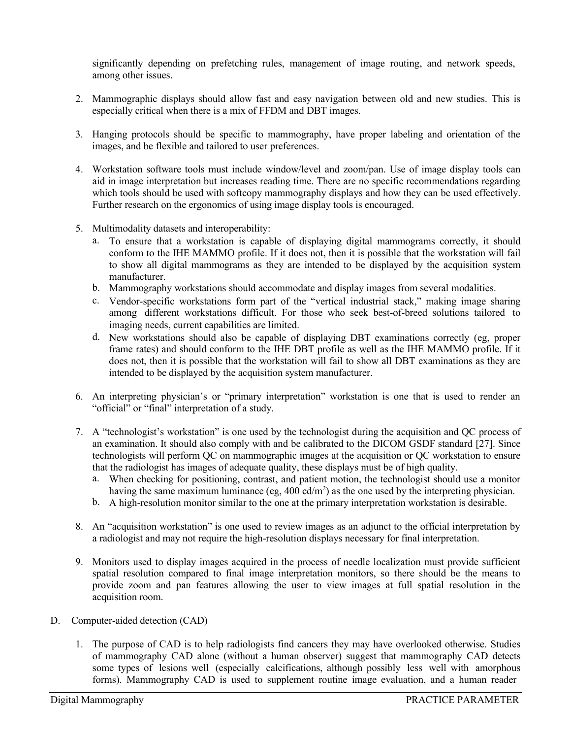significantly depending on prefetching rules, management of image routing, and network speeds, among other issues.

- 2. Mammographic displays should allow fast and easy navigation between old and new studies. This is especially critical when there is a mix of FFDM and DBT images.
- 3. Hanging protocols should be specific to mammography, have proper labeling and orientation of the images, and be flexible and tailored to user preferences.
- 4. Workstation software tools must include window/level and zoom/pan. Use of image display tools can aid in image interpretation but increases reading time. There are no specific recommendations regarding which tools should be used with softcopy mammography displays and how they can be used effectively. Further research on the ergonomics of using image display tools is encouraged.
- 5. Multimodality datasets and interoperability:
	- a. To ensure that a workstation is capable of displaying digital mammograms correctly, it should conform to the IHE MAMMO profile. If it does not, then it is possible that the workstation will fail to show all digital mammograms as they are intended to be displayed by the acquisition system manufacturer.
	- b. Mammography workstations should accommodate and display images from several modalities.
	- c. Vendor-specific workstations form part of the "vertical industrial stack," making image sharing among different workstations difficult. For those who seek best-of-breed solutions tailored to imaging needs, current capabilities are limited.
	- d. New workstations should also be capable of displaying DBT examinations correctly (eg, proper frame rates) and should conform to the IHE DBT profile as well as the IHE MAMMO profile. If it does not, then it is possible that the workstation will fail to show all DBT examinations as they are intended to be displayed by the acquisition system manufacturer.
- 6. An interpreting physician's or "primary interpretation" workstation is one that is used to render an "official" or "final" interpretation of a study.
- 7. A "technologist's workstation" is one used by the technologist during the acquisition and QC process of an examination. It should also comply with and be calibrated to the DICOM GSDF standard [\[27\]](#page-18-19). Since technologists will perform QC on mammographic images at the acquisition or QC workstation to ensure that the radiologist has images of adequate quality, these displays must be of high quality.
	- a. When checking for positioning, contrast, and patient motion, the technologist should use a monitor having the same maximum luminance (eg, 400 cd/m<sup>2</sup>) as the one used by the interpreting physician.
	- b. A high-resolution monitor similar to the one at the primary interpretation workstation is desirable.
- 8. An "acquisition workstation" is one used to review images as an adjunct to the official interpretation by a radiologist and may not require the high-resolution displays necessary for final interpretation.
- 9. Monitors used to display images acquired in the process of needle localization must provide sufficient spatial resolution compared to final image interpretation monitors, so there should be the means to provide zoom and pan features allowing the user to view images at full spatial resolution in the acquisition room.
- D. Computer-aided detection (CAD)
	- 1. The purpose of CAD is to help radiologists find cancers they may have overlooked otherwise. Studies of mammography CAD alone (without a human observer) suggest that mammography CAD detects some types of lesions well (especially calcifications, although possibly less well with amorphous forms). Mammography CAD is used to supplement routine image evaluation, and a human reader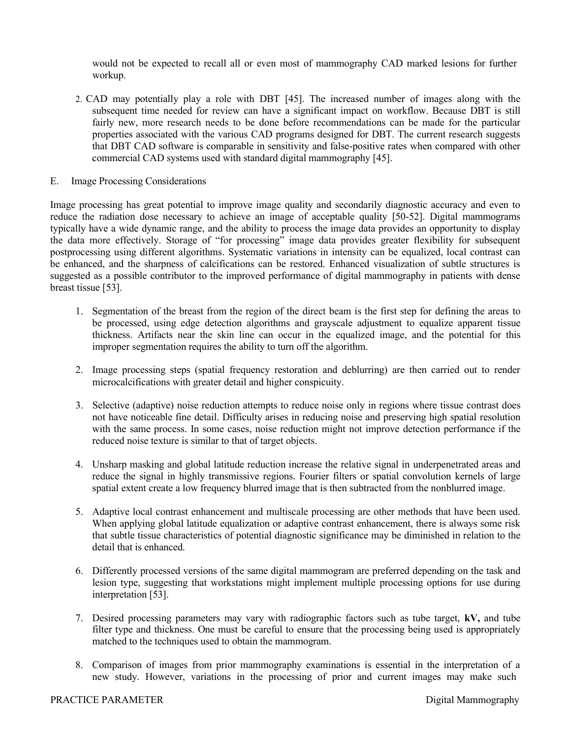would not be expected to recall all or even most of mammography CAD marked lesions for further workup.

- 2. CAD may potentially play a role with DBT [\[45\]](#page-19-13). The increased number of images along with the subsequent time needed for review can have a significant impact on workflow. Because DBT is still fairly new, more research needs to be done before recommendations can be made for the particular properties associated with the various CAD programs designed for DBT. The current research suggests that DBT CAD software is comparable in sensitivity and false-positive rates when compared with other commercial CAD systems used with standard digital mammography [\[45\]](#page-19-13).
- E. Image Processing Considerations

Image processing has great potential to improve image quality and secondarily diagnostic accuracy and even to reduce the radiation dose necessary to achieve an image of acceptable quality [\[50-52\]](#page-19-14). Digital mammograms typically have a wide dynamic range, and the ability to process the image data provides an opportunity to display the data more effectively. Storage of "for processing" image data provides greater flexibility for subsequent postprocessing using different algorithms. Systematic variations in intensity can be equalized, local contrast can be enhanced, and the sharpness of calcifications can be restored. Enhanced visualization of subtle structures is suggested as a possible contributor to the improved performance of digital mammography in patients with dense breast tissue [\[53\]](#page-20-1).

- 1. Segmentation of the breast from the region of the direct beam is the first step for defining the areas to be processed, using edge detection algorithms and grayscale adjustment to equalize apparent tissue thickness. Artifacts near the skin line can occur in the equalized image, and the potential for this improper segmentation requires the ability to turn off the algorithm.
- 2. Image processing steps (spatial frequency restoration and deblurring) are then carried out to render microcalcifications with greater detail and higher conspicuity.
- 3. Selective (adaptive) noise reduction attempts to reduce noise only in regions where tissue contrast does not have noticeable fine detail. Difficulty arises in reducing noise and preserving high spatial resolution with the same process. In some cases, noise reduction might not improve detection performance if the reduced noise texture is similar to that of target objects.
- 4. Unsharp masking and global latitude reduction increase the relative signal in underpenetrated areas and reduce the signal in highly transmissive regions. Fourier filters or spatial convolution kernels of large spatial extent create a low frequency blurred image that is then subtracted from the nonblurred image.
- 5. Adaptive local contrast enhancement and multiscale processing are other methods that have been used. When applying global latitude equalization or adaptive contrast enhancement, there is always some risk that subtle tissue characteristics of potential diagnostic significance may be diminished in relation to the detail that is enhanced.
- 6. Differently processed versions of the same digital mammogram are preferred depending on the task and lesion type, suggesting that workstations might implement multiple processing options for use during interpretation [\[53\]](#page-20-1).
- 7. Desired processing parameters may vary with radiographic factors such as tube target, **kV,** and tube filter type and thickness. One must be careful to ensure that the processing being used is appropriately matched to the techniques used to obtain the mammogram.
- 8. Comparison of images from prior mammography examinations is essential in the interpretation of a new study. However, variations in the processing of prior and current images may make such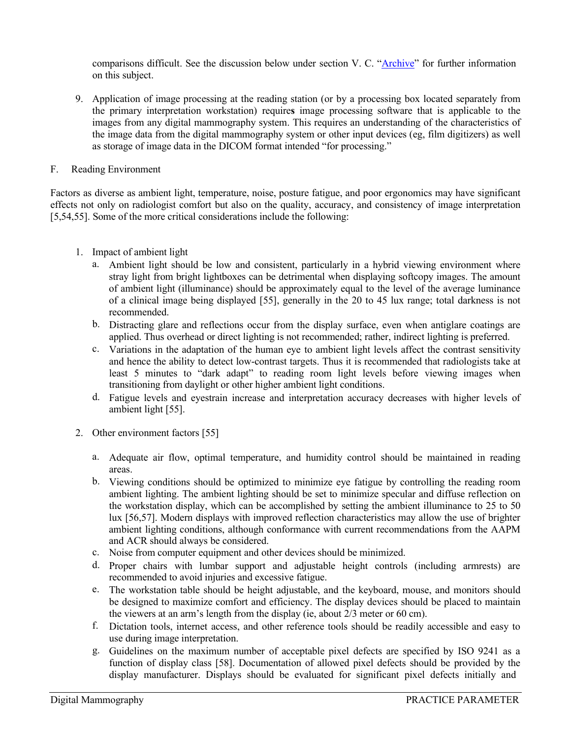comparisons difficult. See the discussion below under section V. C. ["Archive"](#page-13-0) for further information on this subject.

- 9. Application of image processing at the reading station (or by a processing box located separately from the primary interpretation workstation) require**s** image processing software that is applicable to the images from any digital mammography system. This requires an understanding of the characteristics of the image data from the digital mammography system or other input devices (eg, film digitizers) as well as storage of image data in the DICOM format intended "for processing."
- F. Reading Environment

Factors as diverse as ambient light, temperature, noise, posture fatigue, and poor ergonomics may have significant effects not only on radiologist comfort but also on the quality, accuracy, and consistency of image interpretatio[n](#page-18-1) [\[5](#page-18-1)[,54](#page-20-2)[,55\]](#page-20-3). Some of the more critical considerations include the following:

- 1. Impact of ambient light
	- a. Ambient light should be low and consistent, particularly in a hybrid viewing environment where stray light from bright lightboxes can be detrimental when displaying softcopy images. The amount of ambient light (illuminance) should be approximately equal to the level of the average luminance of a clinical image being displayed [\[55\]](#page-20-3), generally in the 20 to 45 lux range; total darkness is not recommended.
	- b. Distracting glare and reflections occur from the display surface, even when antiglare coatings are applied. Thus overhead or direct lighting is not recommended; rather, indirect lighting is preferred.
	- c. Variations in the adaptation of the human eye to ambient light levels affect the contrast sensitivity and hence the ability to detect low-contrast targets. Thus it is recommended that radiologists take at least 5 minutes to "dark adapt" to reading room light levels before viewing images when transitioning from daylight or other higher ambient light conditions.
	- d. Fatigue levels and eyestrain increase and interpretation accuracy decreases with higher levels of ambient light [\[55\]](#page-20-3).
- 2. Other environment factors [\[55\]](#page-20-3)
	- a. Adequate air flow, optimal temperature, and humidity control should be maintained in reading areas.
	- b. Viewing conditions should be optimized to minimize eye fatigue by controlling the reading room ambient lighting. The ambient lighting should be set to minimize specular and diffuse reflection on the workstation display, which can be accomplished by setting the ambient illuminance to 25 to 50 lux [\[56](#page-20-4)[,57\]](#page-20-5). Modern displays with improved reflection characteristics may allow the use of brighter ambient lighting conditions, although conformance with current recommendations from the AAPM and ACR should always be considered.
	- c. Noise from computer equipment and other devices should be minimized.
	- d. Proper chairs with lumbar support and adjustable height controls (including armrests) are recommended to avoid injuries and excessive fatigue.
	- e. The workstation table should be height adjustable, and the keyboard, mouse, and monitors should be designed to maximize comfort and efficiency. The display devices should be placed to maintain the viewers at an arm's length from the display (ie, about 2/3 meter or 60 cm).
	- f. Dictation tools, internet access, and other reference tools should be readily accessible and easy to use during image interpretation.
	- g. Guidelines on the maximum number of acceptable pixel defects are specified by ISO 9241 as a function of display class [\[58\]](#page-20-6). Documentation of allowed pixel defects should be provided by the display manufacturer. Displays should be evaluated for significant pixel defects initially and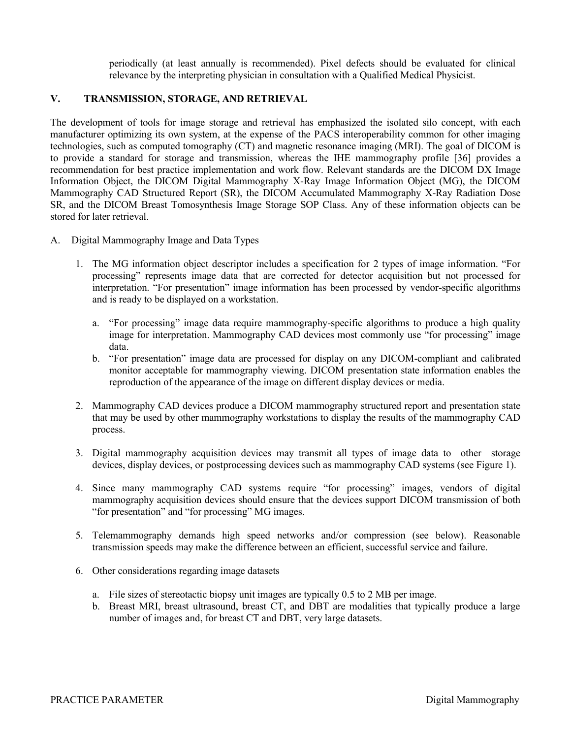periodically (at least annually is recommended). Pixel defects should be evaluated for clinical relevance by the interpreting physician in consultation with a Qualified Medical Physicist.

## **V. TRANSMISSION, STORAGE, AND RETRIEVAL**

The development of tools for image storage and retrieval has emphasized the isolated silo concept, with each manufacturer optimizing its own system, at the expense of the PACS interoperability common for other imaging technologies, such as computed tomography (CT) and magnetic resonance imaging (MRI). The goal of DICOM is to provide a standard for storage and transmission, whereas the IHE mammography profile [\[36\]](#page-19-6) provides a recommendation for best practice implementation and work flow. Relevant standards are the DICOM DX Image Information Object, the DICOM Digital Mammography X-Ray Image Information Object (MG), the DICOM Mammography CAD Structured Report (SR), the DICOM Accumulated Mammography X-Ray Radiation Dose SR, and the DICOM Breast Tomosynthesis Image Storage SOP Class. Any of these information objects can be stored for later retrieval.

- A. Digital Mammography Image and Data Types
	- 1. The MG information object descriptor includes a specification for 2 types of image information. "For processing" represents image data that are corrected for detector acquisition but not processed for interpretation. "For presentation" image information has been processed by vendor-specific algorithms and is ready to be displayed on a workstation.
		- a. "For processing" image data require mammography-specific algorithms to produce a high quality image for interpretation. Mammography CAD devices most commonly use "for processing" image data.
		- b. "For presentation" image data are processed for display on any DICOM-compliant and calibrated monitor acceptable for mammography viewing. DICOM presentation state information enables the reproduction of the appearance of the image on different display devices or media.
	- 2. Mammography CAD devices produce a DICOM mammography structured report and presentation state that may be used by other mammography workstations to display the results of the mammography CAD process.
	- 3. Digital mammography acquisition devices may transmit all types of image data to other storage devices, display devices, or postprocessing devices such as mammography CAD systems (see Figure 1).
	- 4. Since many mammography CAD systems require "for processing" images, vendors of digital mammography acquisition devices should ensure that the devices support DICOM transmission of both "for presentation" and "for processing" MG images.
	- 5. Telemammography demands high speed networks and/or compression (see below). Reasonable transmission speeds may make the difference between an efficient, successful service and failure.
	- 6. Other considerations regarding image datasets
		- a. File sizes of stereotactic biopsy unit images are typically 0.5 to 2 MB per image.
		- b. Breast MRI, breast ultrasound, breast CT, and DBT are modalities that typically produce a large number of images and, for breast CT and DBT, very large datasets.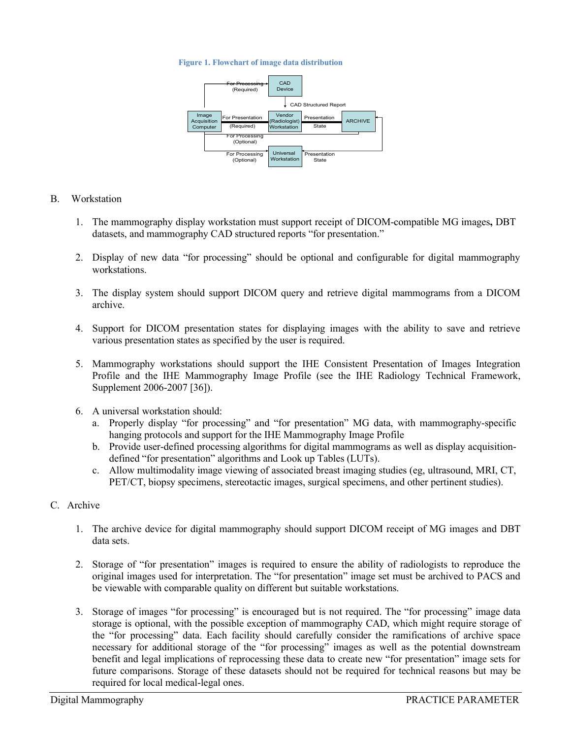#### **Figure 1. Flowchart of image data distribution**



#### B. Workstation

- 1. The mammography display workstation must support receipt of DICOM-compatible MG images**,** DBT datasets, and mammography CAD structured reports "for presentation."
- 2. Display of new data "for processing" should be optional and configurable for digital mammography workstations.
- 3. The display system should support DICOM query and retrieve digital mammograms from a DICOM archive.
- 4. Support for DICOM presentation states for displaying images with the ability to save and retrieve various presentation states as specified by the user is required.
- 5. Mammography workstations should support the IHE Consistent Presentation of Images Integration Profile and the IHE Mammography Image Profile (see the IHE Radiology Technical Framework, Supplement 2006[-2007](#page-19-6) [36]).
- 6. A universal workstation should:
	- a. Properly display "for processing" and "for presentation" MG data, with mammography-specific hanging protocols and support for the IHE Mammography Image Profile
	- b. Provide user-defined processing algorithms for digital mammograms as well as display acquisitiondefined "for presentation" algorithms and Look up Tables (LUTs).
	- c. Allow multimodality image viewing of associated breast imaging studies (eg, ultrasound, MRI, CT, PET/CT, biopsy specimens, stereotactic images, surgical specimens, and other pertinent studies).
- <span id="page-13-0"></span>C. Archive
	- 1. The archive device for digital mammography should support DICOM receipt of MG images and DBT data sets.
	- 2. Storage of "for presentation" images is required to ensure the ability of radiologists to reproduce the original images used for interpretation. The "for presentation" image set must be archived to PACS and be viewable with comparable quality on different but suitable workstations.
	- 3. Storage of images "for processing" is encouraged but is not required. The "for processing" image data storage is optional, with the possible exception of mammography CAD, which might require storage of the "for processing" data. Each facility should carefully consider the ramifications of archive space necessary for additional storage of the "for processing" images as well as the potential downstream benefit and legal implications of reprocessing these data to create new "for presentation" image sets for future comparisons. Storage of these datasets should not be required for technical reasons but may be required for local medical-legal ones.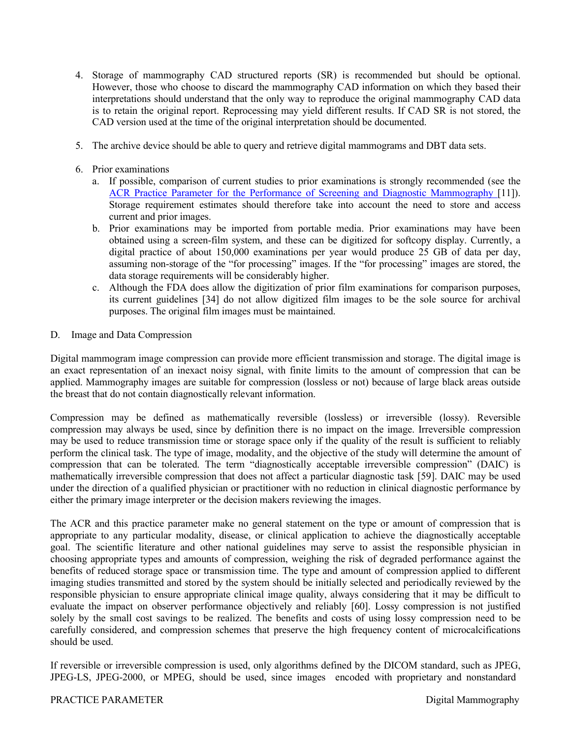- 4. Storage of mammography CAD structured reports (SR) is recommended but should be optional. However, those who choose to discard the mammography CAD information on which they based their interpretations should understand that the only way to reproduce the original mammography CAD data is to retain the original report. Reprocessing may yield different results. If CAD SR is not stored, the CAD version used at the time of the original interpretation should be documented.
- 5. The archive device should be able to query and retrieve digital mammograms and DBT data sets.
- 6. Prior examinations
	- a. If possible, comparison of current studies to prior examinations is strongly recommended (see the ACR Practice Parameter for the Performance of Screening and Diagnostic [Mammography](https://www.acr.org/-/media/ACR/Files/Practice-Parameters/Screen-Diag-Mammo.pdf) [\[11\]](#page-18-7)). Storage requirement estimates should therefore take into account the need to store and access current and prior images.
	- b. Prior examinations may be imported from portable media. Prior examinations may have been obtained using a screen-film system, and these can be digitized for softcopy display. Currently, a digital practice of about 150,000 examinations per year would produce 25 GB of data per day, assuming non-storage of the "for processing" images. If the "for processing" images are stored, the data storage requirements will be considerably higher.
	- c. Although the FDA does allow the digitization of prior film examinations for comparison purposes, its current guidelines [\[34\]](#page-19-4) do not allow digitized film images to be the sole source for archival purposes. The original film images must be maintained.
- D. Image and Data Compression

Digital mammogram image compression can provide more efficient transmission and storage. The digital image is an exact representation of an inexact noisy signal, with finite limits to the amount of compression that can be applied. Mammography images are suitable for compression (lossless or not) because of large black areas outside the breast that do not contain diagnostically relevant information.

Compression may be defined as mathematically reversible (lossless) or irreversible (lossy). Reversible compression may always be used, since by definition there is no impact on the image. Irreversible compression may be used to reduce transmission time or storage space only if the quality of the result is sufficient to reliably perform the clinical task. The type of image, modality, and the objective of the study will determine the amount of compression that can be tolerated. The term "diagnostically acceptable irreversible compression" (DAIC) is mathematically irreversible compression that does not affect a particular diagnostic task [\[59\]](#page-20-7). DAIC may be used under the direction of a qualified physician or practitioner with no reduction in clinical diagnostic performance by either the primary image interpreter or the decision makers reviewing the images.

The ACR and this practice parameter make no general statement on the type or amount of compression that is appropriate to any particular modality, disease, or clinical application to achieve the diagnostically acceptable goal. The scientific literature and other national guidelines may serve to assist the responsible physician in choosing appropriate types and amounts of compression, weighing the risk of degraded performance against the benefits of reduced storage space or transmission time. The type and amount of compression applied to different imaging studies transmitted and stored by the system should be initially selected and periodically reviewed by the responsible physician to ensure appropriate clinical image quality, always considering that it may be difficult to evaluate the impact on observer performance objectively and reliably [\[60\]](#page-20-8). Lossy compression is not justified solely by the small cost savings to be realized. The benefits and costs of using lossy compression need to be carefully considered, and compression schemes that preserve the high frequency content of microcalcifications should be used.

If reversible or irreversible compression is used, only algorithms defined by the DICOM standard, such as JPEG, JPEG-LS, JPEG-2000, or MPEG, should be used, since images encoded with proprietary and nonstandard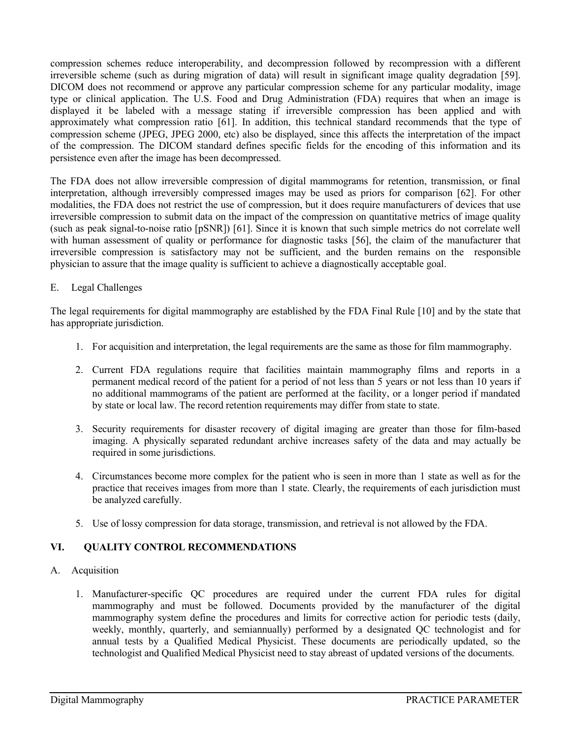compression schemes reduce interoperability, and decompression followed by recompression with a different irreversible scheme (such as during migration of data) will result in significant image quality degradation [\[59\]](#page-20-7). DICOM does not recommend or approve any particular compression scheme for any particular modality, image type or clinical application. The U.S. Food and Drug Administration (FDA) requires that when an image is displayed it be labeled with a message stating if irreversible compression has been applied and with approximately what compression ratio [\[61\]](#page-20-9). In addition, this technical standard recommends that the type of compression scheme (JPEG, JPEG 2000, etc) also be displayed, since this affects the interpretation of the impact of the compression. The DICOM standard defines specific fields for the encoding of this information and its persistence even after the image has been decompressed.

The FDA does not allow irreversible compression of digital mammograms for retention, transmission, or final interpretation, although irreversibly compressed images may be used as priors for comparison [\[62\]](#page-20-10). For other modalities, the FDA does not restrict the use of compression, but it does require manufacturers of devices that use irreversible compression to submit data on the impact of the compression on quantitative metrics of image quality (such as peak signal-to-noise ratio [pSNR]) [\[61\]](#page-20-9). Since it is known that such simple metrics do not correlate well with human assessment of quality or performance for diagnostic tasks [\[56\]](#page-20-4), the claim of the manufacturer that irreversible compression is satisfactory may not be sufficient, and the burden remains on the responsible physician to assure that the image quality is sufficient to achieve a diagnostically acceptable goal.

## E. Legal Challenges

The legal requirements for digital mammography are established by the FDA Final Rule [\[10\]](#page-18-6) and by the state that has appropriate jurisdiction.

- 1. For acquisition and interpretation, the legal requirements are the same as those for film mammography.
- 2. Current FDA regulations require that facilities maintain mammography films and reports in a permanent medical record of the patient for a period of not less than 5 years or not less than 10 years if no additional mammograms of the patient are performed at the facility, or a longer period if mandated by state or local law. The record retention requirements may differ from state to state.
- 3. Security requirements for disaster recovery of digital imaging are greater than those for film-based imaging. A physically separated redundant archive increases safety of the data and may actually be required in some jurisdictions.
- 4. Circumstances become more complex for the patient who is seen in more than 1 state as well as for the practice that receives images from more than  $\hat{1}$  state. Clearly, the requirements of each jurisdiction must be analyzed carefully.
- 5. Use of lossy compression for data storage, transmission, and retrieval is not allowed by the FDA.

## **VI. QUALITY CONTROL RECOMMENDATIONS**

### A. Acquisition

1. Manufacturer-specific QC procedures are required under the current FDA rules for digital mammography and must be followed. Documents provided by the manufacturer of the digital mammography system define the procedures and limits for corrective action for periodic tests (daily, weekly, monthly, quarterly, and semiannually) performed by a designated QC technologist and for annual tests by a Qualified Medical Physicist. These documents are periodically updated, so the technologist and Qualified Medical Physicist need to stay abreast of updated versions of the documents.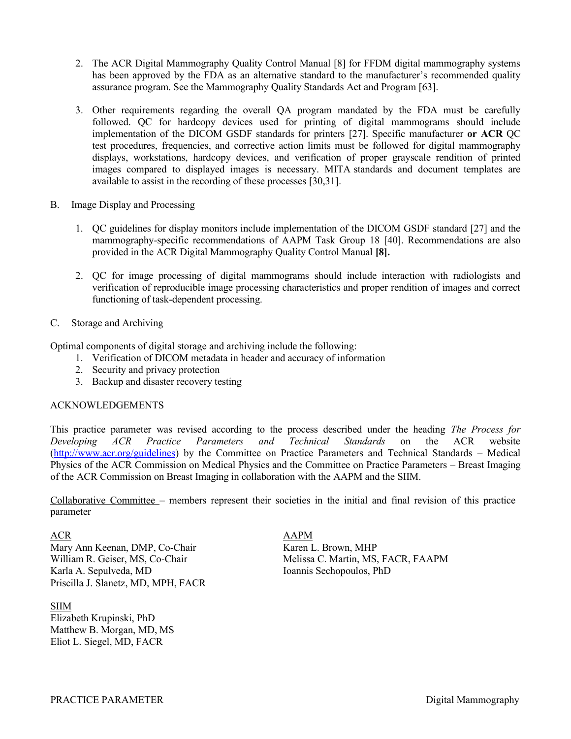- 2. The ACR Digital Mammography Quality Control Manual [\[8\]](#page-18-4) for FFDM digital mammography systems has been approved by the FDA as an alternative standard to the manufacturer's recommended quality assurance program. See the Mammography Quality Standards Act and Program [\[63\]](#page-20-11).
- 3. Other requirements regarding the overall QA program mandated by the FDA must be carefully followed. QC for hardcopy devices used for printing of digital mammograms should include implementation of the DICOM GSDF standards for printers [\[27\]](#page-18-19). Specific manufacturer **or ACR** QC test procedures, frequencies, and corrective action limits must be followed for digital mammography displays, workstations, hardcopy devices, and verification of proper grayscale rendition of printed images compared to displayed images is necessary. MITA standards and document templates are available to assist in the recording of these processes [\[30](#page-19-0)[,31\]](#page-19-1).
- B. Image Display and Processing
	- 1. QC guidelines for display monitors include implementation of the DICOM GSDF standard [\[27\]](#page-18-19) and the mammography-specific recommendations of AAPM Task Group 18 [\[40\]](#page-19-8). Recommendations are also provided in the ACR Digital Mammography Quality Control Manual **[\[8\]](#page-18-4).**
	- 2. QC for image processing of digital mammograms should include interaction with radiologists and verification of reproducible image processing characteristics and proper rendition of images and correct functioning of task-dependent processing.
- C. Storage and Archiving

Optimal components of digital storage and archiving include the following:

- 1. Verification of DICOM metadata in header and accuracy of information
- 2. Security and privacy protection
- 3. Backup and disaster recovery testing

#### ACKNOWLEDGEMENTS

This practice parameter was revised according to the process described under the heading *The Process for Developing ACR Practice Parameters and Technical Standards* on the ACR website [\(http://www.acr.org/guidelines\)](http://www.acr.org/guidelines) by the Committee on Practice Parameters and Technical Standards – Medical Physics of the ACR Commission on Medical Physics and the Committee on Practice Parameters – Breast Imaging of the ACR Commission on Breast Imaging in collaboration with the AAPM and the SIIM.

Collaborative Committee – members represent their societies in the initial and final revision of this practice parameter

Mary Ann Keenan, DMP, Co-Chair Karen L. Brown, MHP Karla A. Sepulveda, MD Ioannis Sechopoulos, PhD Priscilla J. Slanetz, MD, MPH, FACR

SIIM Elizabeth Krupinski, PhD Matthew B. Morgan, MD, MS Eliot L. Siegel, MD, FACR

#### ACR AAPM

William R. Geiser, MS, Co-Chair Melissa C. Martin, MS, FACR, FAAPM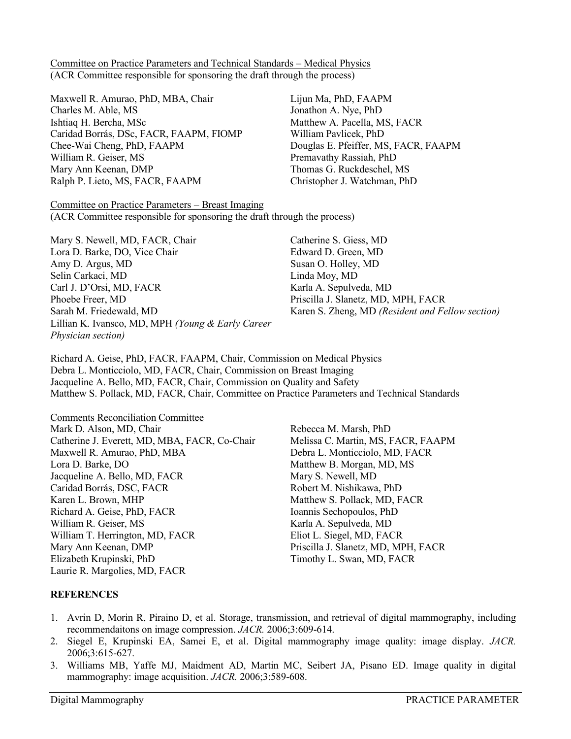Committee on Practice Parameters and Technical Standards – Medical Physics (ACR Committee responsible for sponsoring the draft through the process)

Maxwell R. Amurao, PhD, MBA, Chair Lijun Ma, PhD, FAAPM Charles M. Able, MS Jonathon A. Nye, PhD Ishtiaq H. Bercha, MSc Matthew A. Pacella, MS, FACR Caridad Borrás, DSc, FACR, FAAPM, FIOMP William Pavlicek, PhD Chee-Wai Cheng, PhD, FAAPM Douglas E. Pfeiffer, MS, FACR, FAAPM William R. Geiser, MS **Premavathy Rassiah**, PhD Mary Ann Keenan, DMP Thomas G. Ruckdeschel, MS Ralph P. Lieto, MS, FACR, FAAPM Christopher J. Watchman, PhD

Committee on Practice Parameters – Breast Imaging (ACR Committee responsible for sponsoring the draft through the process)

Mary S. Newell, MD, FACR, Chair Catherine S. Giess, MD Lora D. Barke, DO, Vice Chair Edward D. Green, MD Amy D. Argus, MD Susan O. Holley, MD Selin Carkaci, MD<br>
Carl J. D'Orsi, MD, FACR<br>
Carl J. D'Orsi, MD, FACR<br>
Carl J. D'Orsi, MD, FACR Carl J. D'Orsi, MD, FACR Phoebe Freer, MD Priscilla J. Slanetz, MD, MPH, FACR Sarah M. Friedewald, MD Karen S. Zheng, MD *(Resident and Fellow section)* Lillian K. Ivansco, MD, MPH *(Young & Early Career Physician section)*

Richard A. Geise, PhD, FACR, FAAPM, Chair, Commission on Medical Physics Debra L. Monticciolo, MD, FACR, Chair, Commission on Breast Imaging Jacqueline A. Bello, MD, FACR, Chair, Commission on Quality and Safety Matthew S. Pollack, MD, FACR, Chair, Committee on Practice Parameters and Technical Standards

Comments Reconciliation Committee Mark D. Alson, MD, Chair The Chair Rebecca M. Marsh, PhD Catherine J. Everett, MD, MBA, FACR, Co-Chair Melissa C. Martin, MS, FACR, FAAPM Maxwell R. Amurao, PhD, MBA Debra L. Monticciolo, MD, FACR Lora D. Barke, DO Matthew B. Morgan, MD, MS Jacqueline A. Bello, MD, FACR Mary S. Newell, MD Caridad Borrás, DSC, FACR Robert M. Nishikawa, PhD Karen L. Brown, MHP Matthew S. Pollack, MD, FACR Richard A. Geise, PhD, FACR Ioannis Sechopoulos, PhD William R. Geiser, MS Karla A. Sepulveda, MD William T. Herrington, MD, FACR Eliot L. Siegel, MD, FACR Mary Ann Keenan, DMP **Priscilla J. Slanetz, MD, MPH, FACR** Elizabeth Krupinski, PhD Timothy L. Swan, MD, FACR Laurie R. Margolies, MD, FACR

### **REFERENCES**

- <span id="page-17-0"></span>1. Avrin D, Morin R, Piraino D, et al. Storage, transmission, and retrieval of digital mammography, including recommendaitons on image compression. *JACR.* 2006;3:609-614.
- 2. Siegel E, Krupinski EA, Samei E, et al. Digital mammography image quality: image display. *JACR.* 2006;3:615-627.
- <span id="page-17-1"></span>3. Williams MB, Yaffe MJ, Maidment AD, Martin MC, Seibert JA, Pisano ED. Image quality in digital mammography: image acquisition. *JACR.* 2006;3:589-608.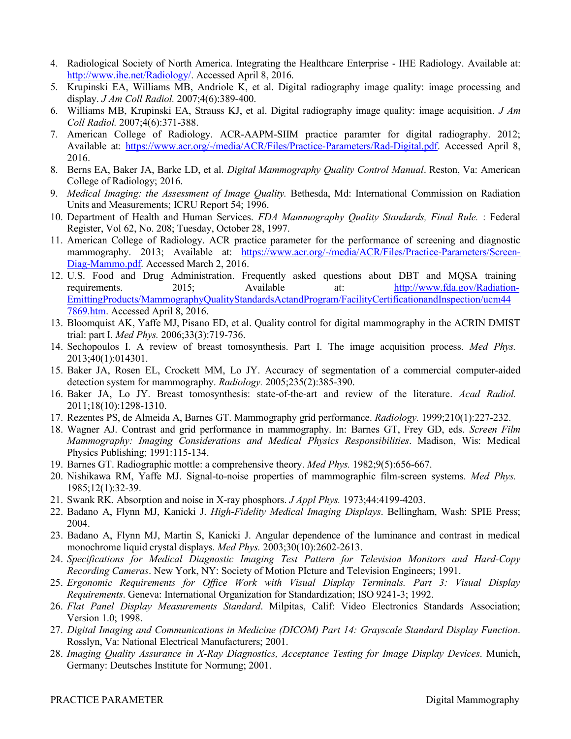- <span id="page-18-0"></span>4. Radiological Society of North America. Integrating the Healthcare Enterprise - IHE Radiology. Available at: [http://www.ihe.net/Radiology/.](http://www.ihe.net/Radiology/) Accessed April 8, 2016.
- <span id="page-18-1"></span>5. Krupinski EA, Williams MB, Andriole K, et al. Digital radiography image quality: image processing and display. *J Am Coll Radiol.* 2007;4(6):389-400.
- <span id="page-18-2"></span>6. Williams MB, Krupinski EA, Strauss KJ, et al. Digital radiography image quality: image acquisition. *J Am Coll Radiol.* 2007;4(6):371-388.
- <span id="page-18-3"></span>7. American College of Radiology. ACR-AAPM-SIIM practice paramter for digital radiography. 2012; Available at: [https://www.acr.org/-/media/ACR/Files/Practice-Parameters/Rad-Digital.pdf.](https://www.acr.org/-/media/ACR/Files/Practice-Parameters/Rad-Digital.pdf) Accessed April 8, 2016.
- <span id="page-18-4"></span>8. Berns EA, Baker JA, Barke LD, et al. *Digital Mammography Quality Control Manual*. Reston, Va: American College of Radiology; 2016.
- <span id="page-18-5"></span>9. *Medical Imaging: the Assessment of Image Quality.* Bethesda, Md: International Commission on Radiation Units and Measurements; ICRU Report 54; 1996.
- <span id="page-18-6"></span>10. Department of Health and Human Services. *FDA Mammography Quality Standards, Final Rule.* : Federal Register, Vol 62, No. 208; Tuesday, October 28, 1997.
- <span id="page-18-7"></span>11. American College of Radiology. ACR practice parameter for the performance of screening and diagnostic mammography. 2013; Available at: [https://www.acr.org/-/media/ACR/Files/Practice-Parameters/Screen-](https://www.acr.org/-/media/ACR/Files/Practice-Parameters/Screen-Diag-Mammo.pdf)[Diag-Mammo.pdf.](https://www.acr.org/-/media/ACR/Files/Practice-Parameters/Screen-Diag-Mammo.pdf) Accessed March 2, 2016.
- <span id="page-18-8"></span>12. U.S. Food and Drug Administration. Frequently asked questions about DBT and MQSA training requirements. 2015; Available at: [http://www.fda.gov/Radiation-](http://www.fda.gov/Radiation-EmittingProducts/MammographyQualityStandardsActandProgram/FacilityCertificationandInspection/ucm447869.htm)[EmittingProducts/MammographyQualityStandardsActandProgram/FacilityCertificationandInspection/ucm44](http://www.fda.gov/Radiation-EmittingProducts/MammographyQualityStandardsActandProgram/FacilityCertificationandInspection/ucm447869.htm) [7869.htm.](http://www.fda.gov/Radiation-EmittingProducts/MammographyQualityStandardsActandProgram/FacilityCertificationandInspection/ucm447869.htm) Accessed April 8, 2016.
- <span id="page-18-9"></span>13. Bloomquist AK, Yaffe MJ, Pisano ED, et al. Quality control for digital mammography in the ACRIN DMIST trial: part I. *Med Phys.* 2006;33(3):719-736.
- <span id="page-18-10"></span>14. Sechopoulos I. A review of breast tomosynthesis. Part I. The image acquisition process. *Med Phys.* 2013;40(1):014301.
- <span id="page-18-11"></span>15. Baker JA, Rosen EL, Crockett MM, Lo JY. Accuracy of segmentation of a commercial computer-aided detection system for mammography. *Radiology.* 2005;235(2):385-390.
- <span id="page-18-12"></span>16. Baker JA, Lo JY. Breast tomosynthesis: state-of-the-art and review of the literature. *Acad Radiol.* 2011;18(10):1298-1310.
- <span id="page-18-13"></span>17. Rezentes PS, de Almeida A, Barnes GT. Mammography grid performance. *Radiology.* 1999;210(1):227-232.
- <span id="page-18-14"></span>18. Wagner AJ. Contrast and grid performance in mammography. In: Barnes GT, Frey GD, eds. *Screen Film Mammography: Imaging Considerations and Medical Physics Responsibilities*. Madison, Wis: Medical Physics Publishing; 1991:115-134.
- <span id="page-18-15"></span>19. Barnes GT. Radiographic mottle: a comprehensive theory. *Med Phys.* 1982;9(5):656-667.
- 20. Nishikawa RM, Yaffe MJ. Signal-to-noise properties of mammographic film-screen systems. *Med Phys.* 1985;12(1):32-39.
- 21. Swank RK. Absorption and noise in X-ray phosphors. *J Appl Phys.* 1973;44:4199-4203.
- <span id="page-18-16"></span>22. Badano A, Flynn MJ, Kanicki J. *High-Fidelity Medical Imaging Displays*. Bellingham, Wash: SPIE Press; 2004.
- <span id="page-18-17"></span>23. Badano A, Flynn MJ, Martin S, Kanicki J. Angular dependence of the luminance and contrast in medical monochrome liquid crystal displays. *Med Phys.* 2003;30(10):2602-2613.
- <span id="page-18-18"></span>24. *Specifications for Medical Diagnostic Imaging Test Pattern for Television Monitors and Hard-Copy Recording Cameras*. New York, NY: Society of Motion PIcture and Television Engineers; 1991.
- 25. *Ergonomic Requirements for Office Work with Visual Display Terminals. Part 3: Visual Display Requirements*. Geneva: International Organization for Standardization; ISO 9241-3; 1992.
- 26. *Flat Panel Display Measurements Standard*. Milpitas, Calif: Video Electronics Standards Association; Version 1.0; 1998.
- <span id="page-18-19"></span>27. *Digital Imaging and Communications in Medicine (DICOM) Part 14: Grayscale Standard Display Function*. Rosslyn, Va: National Electrical Manufacturers; 2001.
- 28. *Imaging Quality Assurance in X-Ray Diagnostics, Acceptance Testing for Image Display Devices*. Munich, Germany: Deutsches Institute for Normung; 2001.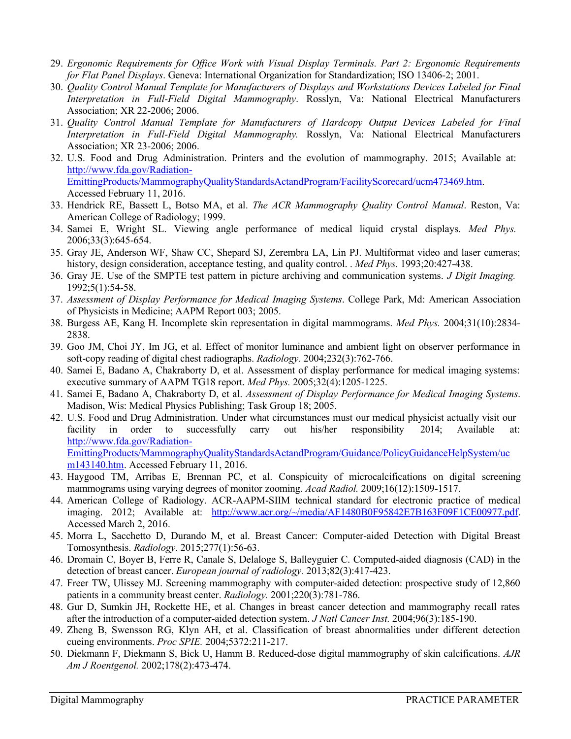- 29. *Ergonomic Requirements for Office Work with Visual Display Terminals. Part 2: Ergonomic Requirements for Flat Panel Displays*. Geneva: International Organization for Standardization; ISO 13406-2; 2001.
- <span id="page-19-0"></span>30. *Quality Control Manual Template for Manufacturers of Displays and Workstations Devices Labeled for Final Interpretation in Full-Field Digital Mammography*. Rosslyn, Va: National Electrical Manufacturers Association; XR 22-2006; 2006.
- <span id="page-19-1"></span>31. *Quality Control Manual Template for Manufacturers of Hardcopy Output Devices Labeled for Final Interpretation in Full-Field Digital Mammography.* Rosslyn, Va: National Electrical Manufacturers Association; XR 23-2006; 2006.
- <span id="page-19-2"></span>32. U.S. Food and Drug Administration. Printers [and the evolution](http://www.fda.gov/Radiation-EmittingProducts/MammographyQualityStandardsActandProgram/FacilityScorecard/ucm473469.htm) of mammography. 2015; Available at: [http://www.fda.gov/Radiation-](http://www.fda.gov/Radiation-EmittingProducts/MammographyQualityStandardsActandProgram/FacilityScorecard/ucm473469.htm)[EmittingProducts/MammographyQualityStandardsActandProgram/FacilityScorecard/ucm473469.htm.](http://www.fda.gov/Radiation-EmittingProducts/MammographyQualityStandardsActandProgram/FacilityScorecard/ucm473469.htm) Accessed February 11, 2016.
- <span id="page-19-3"></span>33. Hendrick RE, Bassett L, Botso MA, et al. *The ACR Mammography Quality Control Manual*. Reston, Va: American College of Radiology; 1999.
- <span id="page-19-4"></span>34. Samei E, Wright SL. Viewing angle performance of medical liquid crystal displays. *Med Phys.* 2006;33(3):645-654.
- <span id="page-19-5"></span>35. Gray JE, Anderson WF, Shaw CC, Shepard SJ, Zerembra LA, Lin PJ. Multiformat video and laser cameras; history, design consideration, acceptance testing, and quality control. . *Med Phys.* 1993;20:427-438.
- <span id="page-19-6"></span>36. Gray JE. Use of the SMPTE test pattern in picture archiving and communication systems. *J Digit Imaging.* 1992;5(1):54-58.
- <span id="page-19-7"></span>37. *Assessment of Display Performance for Medical Imaging Systems*. College Park, Md: American Association of Physicists in Medicine; AAPM Report 003; 2005.
- 38. Burgess AE, Kang H. Incomplete skin representation in digital mammograms. *Med Phys.* 2004;31(10):2834- 2838.
- 39. Goo JM, Choi JY, Im JG, et al. Effect of monitor luminance and ambient light on observer performance in soft-copy reading of digital chest radiographs. *Radiology.* 2004;232(3):762-766.
- <span id="page-19-8"></span>40. Samei E, Badano A, Chakraborty D, et al. Assessment of display performance for medical imaging systems: executive summary of AAPM TG18 report. *Med Phys.* 2005;32(4):1205-1225.
- <span id="page-19-9"></span>41. Samei E, Badano A, Chakraborty D, et al. *Assessment of Display Performance for Medical Imaging Systems*. Madison, Wis: Medical Physics Publishing; Task Group 18; 2005.
- <span id="page-19-10"></span>42. U.S. Food and Drug Administration. Under what circumstances must our medical physicist actually visit our facility in order to s[uccessfully](http://www.fda.gov/Radiation-EmittingProducts/MammographyQualityStandardsActandProgram/Guidance/PolicyGuidanceHelpSystem/ucm143140.htm) carry out his/her responsibility 2014; Available at: [http://www.fda.gov/Radiation-](http://www.fda.gov/Radiation-EmittingProducts/MammographyQualityStandardsActandProgram/Guidance/PolicyGuidanceHelpSystem/ucm143140.htm)[EmittingProducts/MammographyQualityStandardsActandProgram/Guidance/PolicyGuidanceHelpSystem/uc](http://www.fda.gov/Radiation-EmittingProducts/MammographyQualityStandardsActandProgram/Guidance/PolicyGuidanceHelpSystem/ucm143140.htm)

[m143140.htm.](http://www.fda.gov/Radiation-EmittingProducts/MammographyQualityStandardsActandProgram/Guidance/PolicyGuidanceHelpSystem/ucm143140.htm) Accessed February 11, 2016.

- <span id="page-19-11"></span>43. Haygood TM, Arribas E, Brennan PC, et al. Conspicuity of microcalcifications on digital screening mammograms using varying degrees of monitor zooming. *Acad Radiol.* 2009;16(12):1509-1517.
- <span id="page-19-12"></span>44. American College of Radiology. ACR-AAPM-SIIM technical standard for electronic practice of medical imaging. 2012; Available at: [http://www.acr.org/~/media/AF1480B0F95842E7B163F09F1CE00977.pdf.](http://www.acr.org/%7E/media/AF1480B0F95842E7B163F09F1CE00977.pdf) Accessed March 2, 2016.
- <span id="page-19-13"></span>45. Morra L, Sacchetto D, Durando M, et al. Breast Cancer: Computer-aided Detection with Digital Breast Tomosynthesis. *Radiology.* 2015;277(1):56-63.
- 46. Dromain C, Boyer B, Ferre R, Canale S, Delaloge S, Balleyguier C. Computed-aided diagnosis (CAD) in the detection of breast cancer. *European journal of radiology.* 2013;82(3):417-423.
- 47. Freer TW, Ulissey MJ. Screening mammography with computer-aided detection: prospective study of 12,860 patients in a community breast center. *Radiology.* 2001;220(3):781-786.
- 48. Gur D, Sumkin JH, Rockette HE, et al. Changes in breast cancer detection and mammography recall rates after the introduction of a computer-aided detection system. *J Natl Cancer Inst.* 2004;96(3):185-190.
- 49. Zheng B, Swensson RG, Klyn AH, et al. Classification of breast abnormalities under different detection cueing environments. *Proc SPIE.* 2004;5372:211-217.
- <span id="page-19-14"></span>50. Diekmann F, Diekmann S, Bick U, Hamm B. Reduced-dose digital mammography of skin calcifications. *AJR Am J Roentgenol.* 2002;178(2):473-474.